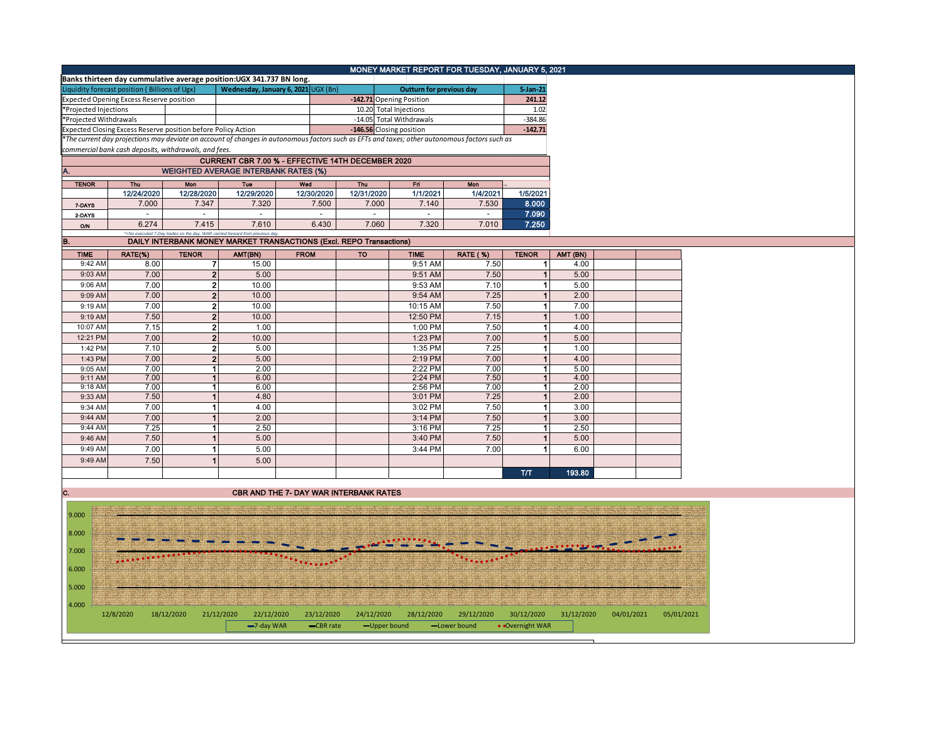|                                          | MONEY MARKET REPORT FOR TUESDAY, JANUARY 5, 2021              |                          |                                                                                                                                               |                                                                 |                          |                          |                 |                      |            |            |            |  |  |
|------------------------------------------|---------------------------------------------------------------|--------------------------|-----------------------------------------------------------------------------------------------------------------------------------------------|-----------------------------------------------------------------|--------------------------|--------------------------|-----------------|----------------------|------------|------------|------------|--|--|
|                                          |                                                               |                          | Banks thirteen day cummulative average position: UGX 341.737 BN long.                                                                         |                                                                 |                          |                          |                 |                      |            |            |            |  |  |
|                                          | Liquidity forecast position (Billions of Ugx)                 |                          |                                                                                                                                               | Wednesday, January 6, 2021 UGX (Bn)<br>Outturn for previous day |                          |                          |                 |                      |            |            |            |  |  |
| Expected Opening Excess Reserve position |                                                               |                          |                                                                                                                                               |                                                                 | -142.71 Opening Position |                          |                 |                      |            |            |            |  |  |
| *Projected Injections                    |                                                               |                          |                                                                                                                                               | 10.20 Total Injections                                          |                          |                          |                 |                      |            |            |            |  |  |
| *Projected Withdrawals                   |                                                               |                          |                                                                                                                                               |                                                                 | -14.05 Total Withdrawals |                          |                 |                      |            |            |            |  |  |
|                                          | Expected Closing Excess Reserve position before Policy Action |                          |                                                                                                                                               |                                                                 |                          | -146.56 Closing position |                 | $-142.71$            |            |            |            |  |  |
|                                          |                                                               |                          | *The current day projections may deviate on account of changes in autonomous factors such as EFTs and taxes; other autonomous factors such as |                                                                 |                          |                          |                 |                      |            |            |            |  |  |
|                                          | commercial bank cash deposits, withdrawals, and fees.         |                          |                                                                                                                                               |                                                                 |                          |                          |                 |                      |            |            |            |  |  |
|                                          |                                                               |                          | CURRENT CBR 7.00 % - EFFECTIVE 14TH DECEMBER 2020                                                                                             |                                                                 |                          |                          |                 |                      |            |            |            |  |  |
|                                          |                                                               |                          | <b>WEIGHTED AVERAGE INTERBANK RATES (%)</b>                                                                                                   |                                                                 |                          |                          |                 |                      |            |            |            |  |  |
| <b>TENOR</b>                             | Thu                                                           | <b>Mon</b>               | <b>Tue</b>                                                                                                                                    | Wed                                                             | Thu                      | Fri                      | Mon             |                      |            |            |            |  |  |
|                                          | 12/24/2020                                                    | 12/28/2020               | 12/29/2020                                                                                                                                    | 12/30/2020                                                      | 12/31/2020               | 1/1/2021                 | 1/4/2021        | 1/5/2021             |            |            |            |  |  |
| 7-DAYS                                   | 7.000                                                         | 7.347                    | 7.320                                                                                                                                         | 7.500                                                           | 7.000                    | 7.140                    | 7.530           | 8.000                |            |            |            |  |  |
| 2-DAYS                                   | $\mathcal{L}_{\mathcal{A}}$                                   | $\sim$                   | $\sim$                                                                                                                                        | $\sim$                                                          | $\omega$                 | $\equiv$                 | $\omega$        | 7.090                |            |            |            |  |  |
| O/N                                      | 6.274                                                         | 7.415                    | 7.610                                                                                                                                         | 6.430                                                           | 7.060                    | 7.320                    | 7.010           | 7.250                |            |            |            |  |  |
|                                          |                                                               |                          | *=No executed 7-Day trades on the day. WAR carried forward from previous day                                                                  |                                                                 |                          |                          |                 |                      |            |            |            |  |  |
| B.                                       |                                                               |                          | DAILY INTERBANK MONEY MARKET TRANSACTIONS (Excl. REPO Transactions)                                                                           |                                                                 |                          |                          |                 |                      |            |            |            |  |  |
| <b>TIME</b>                              | RATE(%)                                                       | <b>TENOR</b>             | AMT(BN)                                                                                                                                       | <b>FROM</b>                                                     | TO                       | <b>TIME</b>              | <b>RATE (%)</b> | <b>TENOR</b>         | AMT (BN)   |            |            |  |  |
| 9:42 AM                                  | 8.00                                                          | $\overline{7}$           | 15.00                                                                                                                                         |                                                                 |                          | 9:51 AM                  | 7.50            | $\mathbf 1$          | 4.00       |            |            |  |  |
| 9:03 AM                                  | 7.00                                                          | 2 <sup>2</sup>           | 5.00                                                                                                                                          |                                                                 |                          | 9:51 AM                  | 7.50            | $\mathbf{1}$         | 5.00       |            |            |  |  |
| 9:06 AM                                  | 7.00                                                          | 2 <sub>1</sub>           | 10.00                                                                                                                                         |                                                                 |                          | 9:53 AM                  | 7.10            | 1                    | 5.00       |            |            |  |  |
| 9:09 AM                                  | 7.00                                                          | $2 \nvert$               | 10.00                                                                                                                                         |                                                                 |                          | 9:54 AM                  | 7.25            | $\overline{1}$       | 2.00       |            |            |  |  |
| 9:19 AM                                  | 7.00                                                          | 2 <sup>1</sup>           | 10.00                                                                                                                                         |                                                                 |                          | 10:15 AM                 | 7.50            | 1                    | 7.00       |            |            |  |  |
| 9:19 AM                                  | 7.50                                                          | 2 <sub>1</sub>           | 10.00                                                                                                                                         |                                                                 |                          | 12:50 PM                 | 7.15            | $\mathbf{1}$         | 1.00       |            |            |  |  |
| 10:07 AM                                 | 7.15                                                          | $\mathbf{2}$             | 1.00                                                                                                                                          |                                                                 |                          | 1:00 PM                  | 7.50            | $\mathbf{1}$         | 4.00       |            |            |  |  |
| 12:21 PM                                 | 7.00                                                          | $\overline{2}$           | 10.00                                                                                                                                         |                                                                 |                          | 1:23 PM                  | 7.00            | $\mathbf{1}$         | 5.00       |            |            |  |  |
| 1:42 PM                                  | 7.10                                                          | 2 <sub>1</sub>           | 5.00                                                                                                                                          |                                                                 |                          | 1:35 PM                  | 7.25            | 1                    | 1.00       |            |            |  |  |
| 1:43 PM                                  | 7.00                                                          | $\overline{2}$           | 5.00                                                                                                                                          |                                                                 |                          | 2:19 PM                  | 7.00            | $\overline{1}$       | 4.00       |            |            |  |  |
| 9:05 AM                                  | 7.00                                                          | $\mathbf{1}$             | 2.00                                                                                                                                          |                                                                 |                          | 2:22 PM                  | 7.00            | $\mathbf{1}$         | 5.00       |            |            |  |  |
| 9:11 AM                                  | 7.00                                                          | 1                        | 6.00                                                                                                                                          |                                                                 |                          | 2:24 PM                  | 7.50            | $\mathbf{1}$         | 4.00       |            |            |  |  |
| 9:18 AM                                  | 7.00                                                          | $\mathbf{1}$             | 6.00                                                                                                                                          |                                                                 |                          | 2:56 PM                  | 7.00            | $\vert$ 1            | 2.00       |            |            |  |  |
| 9:33 AM                                  | 7.50                                                          | $\mathbf{1}$             | 4.80                                                                                                                                          |                                                                 |                          | 3:01 PM                  | 7.25            | $\mathbf{1}$         | 2.00       |            |            |  |  |
| 9:34 AM                                  | 7.00                                                          | 1                        | 4.00                                                                                                                                          |                                                                 |                          | 3:02 PM                  | 7.50            | 1                    | 3.00       |            |            |  |  |
| 9:44 AM                                  | 7.00                                                          | $\overline{1}$           | 2.00                                                                                                                                          |                                                                 |                          | 3:14 PM                  | 7.50            | $\overline{1}$       | 3.00       |            |            |  |  |
| 9:44 AM                                  | 7.25                                                          | $\overline{\phantom{a}}$ | 2.50                                                                                                                                          |                                                                 |                          | 3:16 PM                  | 7.25            | $\blacktriangleleft$ | 2.50       |            |            |  |  |
| 9:46 AM                                  | 7.50                                                          | $\mathbf{1}$             | 5.00                                                                                                                                          |                                                                 |                          | 3:40 PM                  | 7.50            | $\mathbf{1}$         | 5.00       |            |            |  |  |
| 9:49 AM                                  | 7.00                                                          | 1                        | 5.00                                                                                                                                          |                                                                 |                          | 3:44 PM                  | 7.00            | $\mathbf{1}$         | 6.00       |            |            |  |  |
| 9:49 AM                                  | 7.50                                                          | $\overline{1}$           | 5.00                                                                                                                                          |                                                                 |                          |                          |                 |                      |            |            |            |  |  |
|                                          |                                                               |                          |                                                                                                                                               |                                                                 |                          |                          |                 | T/T                  | 193.80     |            |            |  |  |
|                                          |                                                               |                          |                                                                                                                                               |                                                                 |                          |                          |                 |                      |            |            |            |  |  |
| C.                                       |                                                               |                          | <b>CBR AND THE 7- DAY WAR INTERBANK RATES</b>                                                                                                 |                                                                 |                          |                          |                 |                      |            |            |            |  |  |
|                                          |                                                               |                          |                                                                                                                                               |                                                                 |                          |                          |                 |                      |            |            |            |  |  |
| 9.000                                    |                                                               |                          |                                                                                                                                               |                                                                 |                          |                          |                 |                      |            |            |            |  |  |
|                                          |                                                               |                          |                                                                                                                                               |                                                                 |                          |                          |                 |                      |            |            |            |  |  |
| 8.000                                    |                                                               |                          |                                                                                                                                               |                                                                 |                          |                          |                 |                      |            |            |            |  |  |
| 7.000                                    |                                                               |                          |                                                                                                                                               |                                                                 |                          |                          |                 |                      |            |            |            |  |  |
|                                          |                                                               |                          |                                                                                                                                               |                                                                 |                          |                          |                 |                      |            |            |            |  |  |
| 6.000                                    |                                                               |                          |                                                                                                                                               |                                                                 |                          |                          |                 |                      |            |            |            |  |  |
|                                          |                                                               |                          |                                                                                                                                               |                                                                 |                          |                          |                 |                      |            |            |            |  |  |
| 5.000                                    |                                                               |                          |                                                                                                                                               |                                                                 |                          |                          |                 |                      |            |            |            |  |  |
|                                          |                                                               |                          |                                                                                                                                               |                                                                 |                          |                          |                 |                      |            |            |            |  |  |
| 4.000                                    | 12/8/2020                                                     | 18/12/2020               | 21/12/2020<br>22/12/2020                                                                                                                      | 23/12/2020                                                      | 24/12/2020               | 28/12/2020               | 29/12/2020      | 30/12/2020           | 31/12/2020 | 04/01/2021 | 05/01/2021 |  |  |

-7-day WAR -CBR rate -Upper bound -Lower bound • Overnight WAR